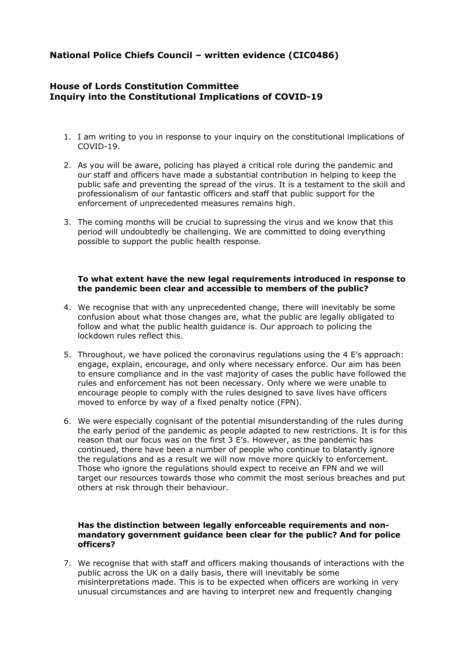# **National Police Chiefs Council – written evidence (CIC0486)**

# **House of Lords Constitution Committee Inquiry into the Constitutional Implications of COVID-19**

- 1. I am writing to you in response to your inquiry on the constitutional implications of COVID-19.
- 2. As you will be aware, policing has played a critical role during the pandemic and our staff and officers have made a substantial contribution in helping to keep the public safe and preventing the spread of the virus. It is a testament to the skill and professionalism of our fantastic officers and staff that public support for the enforcement of unprecedented measures remains high.
- 3. The coming months will be crucial to supressing the virus and we know that this period will undoubtedly be challenging. We are committed to doing everything possible to support the public health response.

## **To what extent have the new legal requirements introduced in response to the pandemic been clear and accessible to members of the public?**

- 4. We recognise that with any unprecedented change, there will inevitably be some confusion about what those changes are, what the public are legally obligated to follow and what the public health guidance is. Our approach to policing the lockdown rules reflect this.
- 5. Throughout, we have policed the coronavirus regulations using the 4 E's approach: engage, explain, encourage, and only where necessary enforce. Our aim has been to ensure compliance and in the vast majority of cases the public have followed the rules and enforcement has not been necessary. Only where we were unable to encourage people to comply with the rules designed to save lives have officers moved to enforce by way of a fixed penalty notice (FPN).
- 6. We were especially cognisant of the potential misunderstanding of the rules during the early period of the pandemic as people adapted to new restrictions. It is for this reason that our focus was on the first 3 E's. However, as the pandemic has continued, there have been a number of people who continue to blatantly ignore the regulations and as a result we will now move more quickly to enforcement. Those who ignore the regulations should expect to receive an FPN and we will target our resources towards those who commit the most serious breaches and put others at risk through their behaviour.

## **Has the distinction between legally enforceable requirements and nonmandatory government guidance been clear for the public? And for police officers?**

7. We recognise that with staff and officers making thousands of interactions with the public across the UK on a daily basis, there will inevitably be some misinterpretations made. This is to be expected when officers are working in very unusual circumstances and are having to interpret new and frequently changing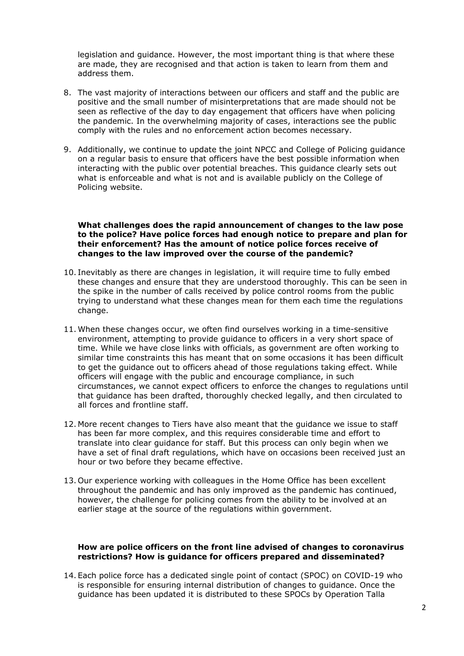legislation and guidance. However, the most important thing is that where these are made, they are recognised and that action is taken to learn from them and address them.

- 8. The vast majority of interactions between our officers and staff and the public are positive and the small number of misinterpretations that are made should not be seen as reflective of the day to day engagement that officers have when policing the pandemic. In the overwhelming majority of cases, interactions see the public comply with the rules and no enforcement action becomes necessary.
- 9. Additionally, we continue to update the joint NPCC and College of Policing guidance on a regular basis to ensure that officers have the best possible information when interacting with the public over potential breaches. This guidance clearly sets out what is enforceable and what is not and is available publicly on the College of Policing website.

#### **What challenges does the rapid announcement of changes to the law pose to the police? Have police forces had enough notice to prepare and plan for their enforcement? Has the amount of notice police forces receive of changes to the law improved over the course of the pandemic?**

- 10. Inevitably as there are changes in legislation, it will require time to fully embed these changes and ensure that they are understood thoroughly. This can be seen in the spike in the number of calls received by police control rooms from the public trying to understand what these changes mean for them each time the regulations change.
- 11. When these changes occur, we often find ourselves working in a time-sensitive environment, attempting to provide guidance to officers in a very short space of time. While we have close links with officials, as government are often working to similar time constraints this has meant that on some occasions it has been difficult to get the guidance out to officers ahead of those regulations taking effect. While officers will engage with the public and encourage compliance, in such circumstances, we cannot expect officers to enforce the changes to regulations until that guidance has been drafted, thoroughly checked legally, and then circulated to all forces and frontline staff.
- 12. More recent changes to Tiers have also meant that the guidance we issue to staff has been far more complex, and this requires considerable time and effort to translate into clear guidance for staff. But this process can only begin when we have a set of final draft regulations, which have on occasions been received just an hour or two before they became effective.
- 13. Our experience working with colleagues in the Home Office has been excellent throughout the pandemic and has only improved as the pandemic has continued, however, the challenge for policing comes from the ability to be involved at an earlier stage at the source of the regulations within government.

#### **How are police officers on the front line advised of changes to coronavirus restrictions? How is guidance for officers prepared and disseminated?**

14. Each police force has a dedicated single point of contact (SPOC) on COVID-19 who is responsible for ensuring internal distribution of changes to guidance. Once the guidance has been updated it is distributed to these SPOCs by Operation Talla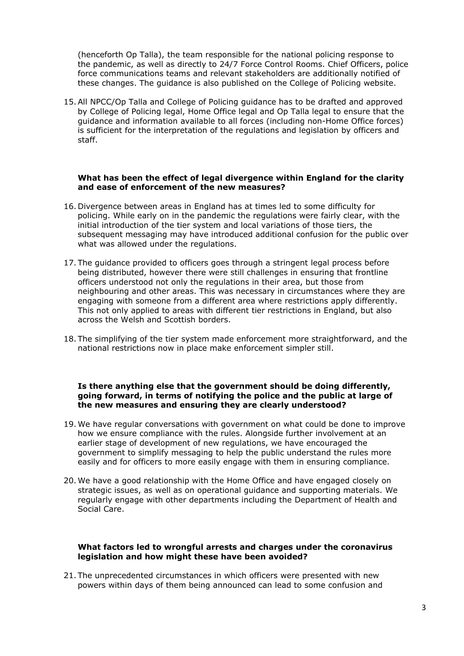(henceforth Op Talla), the team responsible for the national policing response to the pandemic, as well as directly to 24/7 Force Control Rooms. Chief Officers, police force communications teams and relevant stakeholders are additionally notified of these changes. The guidance is also published on the College of Policing website.

15.All NPCC/Op Talla and College of Policing guidance has to be drafted and approved by College of Policing legal, Home Office legal and Op Talla legal to ensure that the guidance and information available to all forces (including non-Home Office forces) is sufficient for the interpretation of the regulations and legislation by officers and staff.

#### **What has been the effect of legal divergence within England for the clarity and ease of enforcement of the new measures?**

- 16. Divergence between areas in England has at times led to some difficulty for policing. While early on in the pandemic the regulations were fairly clear, with the initial introduction of the tier system and local variations of those tiers, the subsequent messaging may have introduced additional confusion for the public over what was allowed under the regulations.
- 17. The guidance provided to officers goes through a stringent legal process before being distributed, however there were still challenges in ensuring that frontline officers understood not only the regulations in their area, but those from neighbouring and other areas. This was necessary in circumstances where they are engaging with someone from a different area where restrictions apply differently. This not only applied to areas with different tier restrictions in England, but also across the Welsh and Scottish borders.
- 18. The simplifying of the tier system made enforcement more straightforward, and the national restrictions now in place make enforcement simpler still.

#### **Is there anything else that the government should be doing differently, going forward, in terms of notifying the police and the public at large of the new measures and ensuring they are clearly understood?**

- 19. We have regular conversations with government on what could be done to improve how we ensure compliance with the rules. Alongside further involvement at an earlier stage of development of new regulations, we have encouraged the government to simplify messaging to help the public understand the rules more easily and for officers to more easily engage with them in ensuring compliance.
- 20. We have a good relationship with the Home Office and have engaged closely on strategic issues, as well as on operational guidance and supporting materials. We regularly engage with other departments including the Department of Health and Social Care.

#### **What factors led to wrongful arrests and charges under the coronavirus legislation and how might these have been avoided?**

21. The unprecedented circumstances in which officers were presented with new powers within days of them being announced can lead to some confusion and